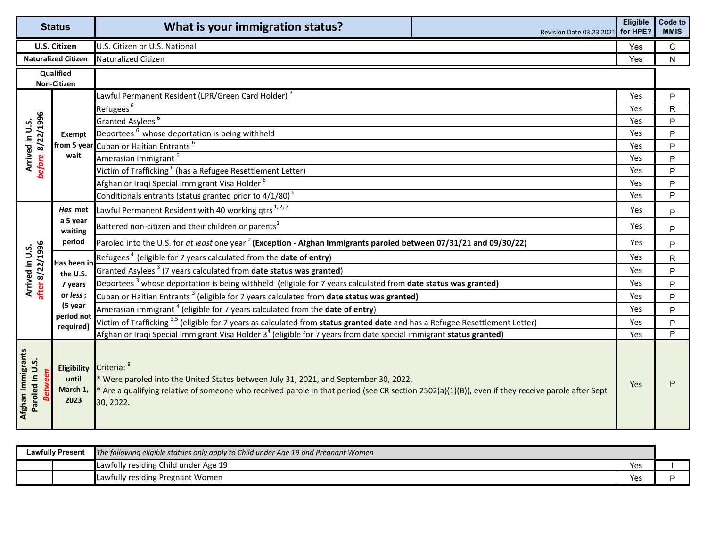| <b>Status</b>                        |                                                 | What is your immigration status?                                                                                                                                                                                                                                     | Revision Date 03.23.2021 for HPE? | Eligible   | Code to<br><b>MMIS</b> |
|--------------------------------------|-------------------------------------------------|----------------------------------------------------------------------------------------------------------------------------------------------------------------------------------------------------------------------------------------------------------------------|-----------------------------------|------------|------------------------|
| <b>U.S. Citizen</b>                  |                                                 | U.S. Citizen or U.S. National                                                                                                                                                                                                                                        |                                   | Yes        | $\mathsf{C}$           |
| <b>Naturalized Citizen</b>           |                                                 | Naturalized Citizen                                                                                                                                                                                                                                                  |                                   | <b>Yes</b> | $\mathsf{N}$           |
| <b>Qualified</b><br>Non-Citizen      |                                                 |                                                                                                                                                                                                                                                                      |                                   |            |                        |
|                                      | Exempt                                          | Lawful Permanent Resident (LPR/Green Card Holder) <sup>3</sup>                                                                                                                                                                                                       |                                   | Yes        | P                      |
|                                      |                                                 | Refugees <sup>6</sup>                                                                                                                                                                                                                                                |                                   | Yes        | $\mathsf{R}$           |
|                                      |                                                 | Granted Asylees <sup>6</sup>                                                                                                                                                                                                                                         |                                   | Yes        | P                      |
|                                      |                                                 | Deportees <sup>6</sup> whose deportation is being withheld                                                                                                                                                                                                           |                                   | Yes        | P                      |
|                                      |                                                 | from 5 year Cuban or Haitian Entrants <sup>6</sup>                                                                                                                                                                                                                   |                                   | Yes        | P                      |
| before 8/22/1996<br>Arrived in U.S.  | wait                                            | Amerasian immigrant <sup>6</sup>                                                                                                                                                                                                                                     |                                   | Yes        | P                      |
|                                      |                                                 | Victim of Trafficking <sup>6</sup> (has a Refugee Resettlement Letter)                                                                                                                                                                                               |                                   | Yes        | P                      |
|                                      |                                                 | Afghan or Iraqi Special Immigrant Visa Holder <sup>6</sup>                                                                                                                                                                                                           |                                   | Yes        | P                      |
|                                      |                                                 | Conditionals entrants (status granted prior to 4/1/80) <sup>6</sup>                                                                                                                                                                                                  |                                   | Yes        | P                      |
|                                      | Has met<br>a 5 year<br>waiting<br>period        | Lawful Permanent Resident with 40 working qtrs <sup>1,2,7</sup>                                                                                                                                                                                                      |                                   | Yes        | P                      |
|                                      |                                                 | Battered non-citizen and their children or parents <sup>2</sup>                                                                                                                                                                                                      |                                   | Yes.       | P                      |
|                                      |                                                 | Paroled into the U.S. for at least one year <sup>2</sup> (Exception - Afghan Immigrants paroled between 07/31/21 and 09/30/22)                                                                                                                                       |                                   | Yes.       | P                      |
| after 8/22/1996<br>Arrived in U.S.   | Has been in<br>the U.S.<br>7 years<br>or less;  | Refugees <sup>4</sup> (eligible for 7 years calculated from the <b>date of entry)</b>                                                                                                                                                                                |                                   | Yes        | $\mathsf{R}$           |
|                                      |                                                 | Granted Asylees <sup>3</sup> (7 years calculated from date status was granted)                                                                                                                                                                                       |                                   | Yes        | P                      |
|                                      |                                                 | Deportees <sup>3</sup> whose deportation is being withheld (eligible for 7 years calculated from <b>date status was granted)</b>                                                                                                                                     |                                   | Yes        | P                      |
|                                      |                                                 | Cuban or Haitian Entrants <sup>3</sup> (eligible for 7 years calculated from <b>date status was granted)</b>                                                                                                                                                         |                                   | Yes        | P                      |
|                                      | (5 year                                         | Amerasian immigrant <sup>4</sup> (eligible for 7 years calculated from the <b>date of entry</b> )                                                                                                                                                                    |                                   | Yes        | $\mathsf{P}$           |
|                                      | period not<br>required)                         | Victim of Trafficking <sup>3,5</sup> (eligible for 7 years as calculated from status granted date and has a Refugee Resettlement Letter)                                                                                                                             |                                   | Yes        | P                      |
|                                      |                                                 | Afghan or Iraqi Special Immigrant Visa Holder 3 <sup>4</sup> (eligible for 7 years from date special immigrant status granted)                                                                                                                                       |                                   | Yes        | P                      |
| Afghan Immigrants<br>Paroled in U.S. | <b>Eligibility</b><br>until<br>March 1,<br>2023 | Criteria: 8<br>* Were paroled into the United States between July 31, 2021, and September 30, 2022.<br>* Are a qualifying relative of someone who received parole in that period (see CR section 2502(a)(1)(B)), even if they receive parole after Sept<br>30, 2022. |                                   | Yes        |                        |

| <b>Lawfully Present</b> |  | The following eligible statues only apply to Child under Age 19 and Pregnant Women |            |  |
|-------------------------|--|------------------------------------------------------------------------------------|------------|--|
|                         |  | Lawfully residing Child under Age 19                                               | ۷ρι        |  |
|                         |  | Lawfully residing Pregnant Women                                                   | <b>Vec</b> |  |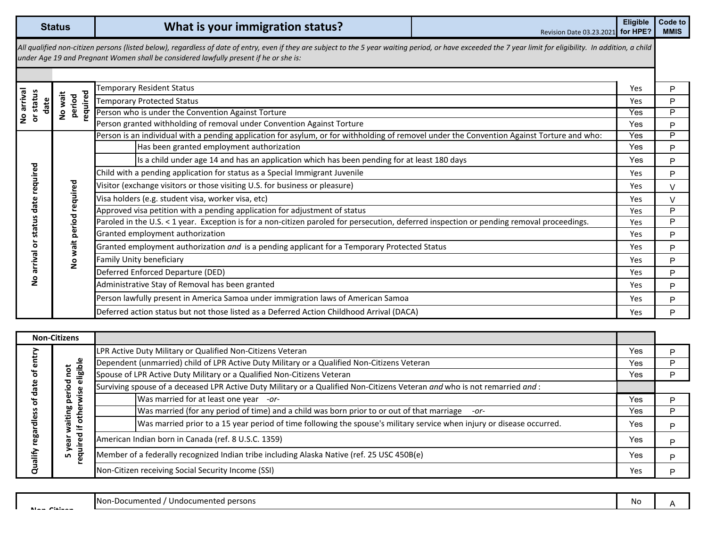## **Code to Code to Code to Code to Code to Mission Date 03.23.2021** for HPE? **MMIS**

*All qualified non-citizen persons (listed below), regardless of date of entry, even if they are subject to the 5 year waiting period, or have exceeded the 7 year limit for eligibility. In addition, a child under Age 19 and Pregnant Women shall be considered lawfully present if he or she is:*

| arrival<br>status<br>date<br><u>ဥ</u><br>৯ | required<br>No wait<br>period          | Femporary Resident Status                                                                                                                  | Yes        | P.     |
|--------------------------------------------|----------------------------------------|--------------------------------------------------------------------------------------------------------------------------------------------|------------|--------|
|                                            |                                        | <b>Temporary Protected Status</b>                                                                                                          | Yes        | P      |
|                                            |                                        | Person who is under the Convention Against Torture                                                                                         | Yes        | P      |
|                                            |                                        | Person granted withholding of removal under Convention Against Torture                                                                     | Yes.       | P      |
|                                            |                                        | Person is an individual with a pending application for asylum, or for withholding of removel under the Convention Against Torture and who: | Yes        | P      |
|                                            | required<br>period<br>wait<br><u>ဥ</u> | Has been granted employment authorization                                                                                                  | Yes        | P.     |
|                                            |                                        | Is a child under age 14 and has an application which has been pending for at least 180 days                                                | Yes        | P      |
| ဥ                                          |                                        | Child with a pending application for status as a Special Immigrant Juvenile                                                                | Yes        | P      |
| quire                                      |                                        | Visitor (exchange visitors or those visiting U.S. for business or pleasure)                                                                | Yes        | $\vee$ |
|                                            |                                        | Visa holders (e.g. student visa, worker visa, etc)                                                                                         | Yes.       | $\vee$ |
| ъ                                          |                                        | Approved visa petition with a pending application for adjustment of status                                                                 | <b>Yes</b> | P      |
|                                            |                                        | Paroled in the U.S. < 1 year. Exception is for a non-citizen paroled for persecution, deferred inspection or pending removal proceedings.  | Yes        | P      |
|                                            |                                        | Granted employment authorization                                                                                                           | Yes        | P      |
| O                                          |                                        | Granted employment authorization and is a pending applicant for a Temporary Protected Status                                               | Yes.       | P      |
| œ<br>arriv                                 |                                        | Family Unity beneficiary                                                                                                                   | <b>Yes</b> | P      |
| z                                          |                                        | Deferred Enforced Departure (DED)                                                                                                          | <b>Yes</b> | P      |
|                                            |                                        | Administrative Stay of Removal has been granted                                                                                            | Yes.       | P      |
|                                            |                                        | Person lawfully present in America Samoa under immigration laws of American Samoa                                                          | Yes        | P      |
|                                            |                                        | Deferred action status but not those listed as a Deferred Action Childhood Arrival (DACA)                                                  | <b>Yes</b> | P      |

| <b>Non-Citizens</b>                     |                                                                                                            |                                                                                                                            |     |   |
|-----------------------------------------|------------------------------------------------------------------------------------------------------------|----------------------------------------------------------------------------------------------------------------------------|-----|---|
| ര<br>70<br>۰<br>SS<br>œ<br>60<br>듷<br>Ō | eligible<br>0<br>ъ<br>c<br>ise<br>ω<br>ο<br>ဗူ<br>other<br>⊭<br>ъ<br>.<br>Sire<br>ក<br>c<br>$\overline{g}$ | LPR Active Duty Military or Qualified Non-Citizens Veteran                                                                 | Yes | P |
|                                         |                                                                                                            | Dependent (unmarried) child of LPR Active Duty Military or a Qualified Non-Citizens Veteran                                | Yes | P |
|                                         |                                                                                                            | Spouse of LPR Active Duty Military or a Qualified Non-Citizens Veteran                                                     | Yes | Þ |
|                                         |                                                                                                            | Surviving spouse of a deceased LPR Active Duty Military or a Qualified Non-Citizens Veteran and who is not remarried and : |     |   |
|                                         |                                                                                                            | Was married for at least one year -or-                                                                                     | Yes | Þ |
|                                         |                                                                                                            | Was married (for any period of time) and a child was born prior to or out of that marriage<br>$-0r-$                       | Yes | P |
|                                         |                                                                                                            | Was married prior to a 15 year period of time following the spouse's military service when injury or disease occurred.     | Yes | P |
|                                         |                                                                                                            | American Indian born in Canada (ref. 8 U.S.C. 1359)                                                                        | Yes | P |
|                                         |                                                                                                            | Member of a federally recognized Indian tribe including Alaska Native (ref. 25 USC 450B(e)                                 | Yes | P |
|                                         |                                                                                                            | Non-Citizen receiving Social Security Income (SSI)                                                                         | Yes | Þ |

Non-Documented / Undocumented persons and the set of the set of the set of the set of the set of the set of the set of the set of the set of the set of the set of the set of the set of the set of the set of the set of the **Non Citizen**